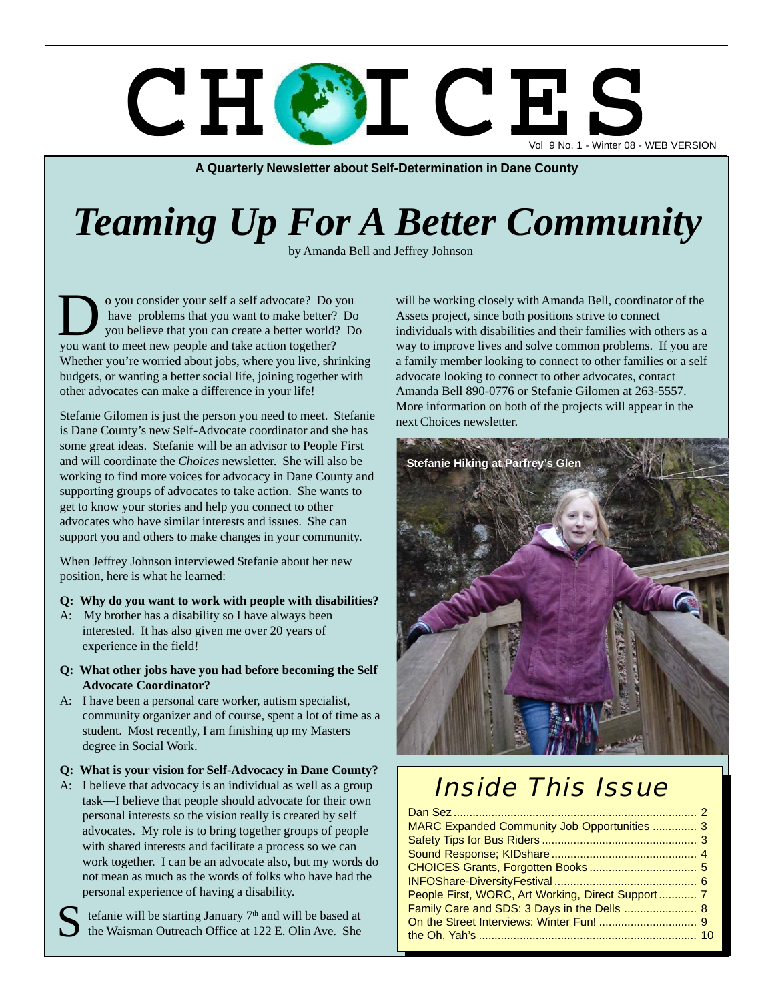# C H C S L C E Vol 9 No. 1 - Winter 08 - WEB VERSION

**A Quarterly Newsletter about Self-Determination in Dane County**

# *Teaming Up For A Better Community*

by Amanda Bell and Jeffrey Johnson

o you consider your self a self advocate? Do you have problems that you want to make better? Do you believe that you can create a better world? Do So you consider your self a self advocate? Do you have problems that you want to make better?<br>
you want to meet new people and take action together? Whether you're worried about jobs, where you live, shrinking budgets, or wanting a better social life, joining together with other advocates can make a difference in your life!

Stefanie Gilomen is just the person you need to meet. Stefanie is Dane County's new Self-Advocate coordinator and she has some great ideas. Stefanie will be an advisor to People First and will coordinate the *Choices* newsletter. She will also be working to find more voices for advocacy in Dane County and supporting groups of advocates to take action. She wants to get to know your stories and help you connect to other advocates who have similar interests and issues. She can support you and others to make changes in your community.

When Jeffrey Johnson interviewed Stefanie about her new position, here is what he learned:

#### **Q: Why do you want to work with people with disabilities?**

- A: My brother has a disability so I have always been interested. It has also given me over 20 years of experience in the field!
- **Q: What other jobs have you had before becoming the Self Advocate Coordinator?**
- A: I have been a personal care worker, autism specialist, community organizer and of course, spent a lot of time as a student. Most recently, I am finishing up my Masters degree in Social Work.

#### **Q: What is your vision for Self-Advocacy in Dane County?**

A: I believe that advocacy is an individual as well as a group task—I believe that people should advocate for their own personal interests so the vision really is created by self advocates. My role is to bring together groups of people with shared interests and facilitate a process so we can work together. I can be an advocate also, but my words do not mean as much as the words of folks who have had the personal experience of having a disability.

tefanie will be starting January 7<sup>th</sup> and will be based at the Waisman Outreach Office at 122 E. Olin Ave. She S

will be working closely with Amanda Bell, coordinator of the Assets project, since both positions strive to connect individuals with disabilities and their families with others as a way to improve lives and solve common problems. If you are a family member looking to connect to other families or a self advocate looking to connect to other advocates, contact Amanda Bell 890-0776 or Stefanie Gilomen at 263-5557. More information on both of the projects will appear in the next Choices newsletter.



## Inside This Issue

| MARC Expanded Community Job Opportunities  3      |  |
|---------------------------------------------------|--|
|                                                   |  |
|                                                   |  |
|                                                   |  |
|                                                   |  |
| People First, WORC, Art Working, Direct Support 7 |  |
| Family Care and SDS: 3 Days in the Dells  8       |  |
|                                                   |  |
|                                                   |  |
|                                                   |  |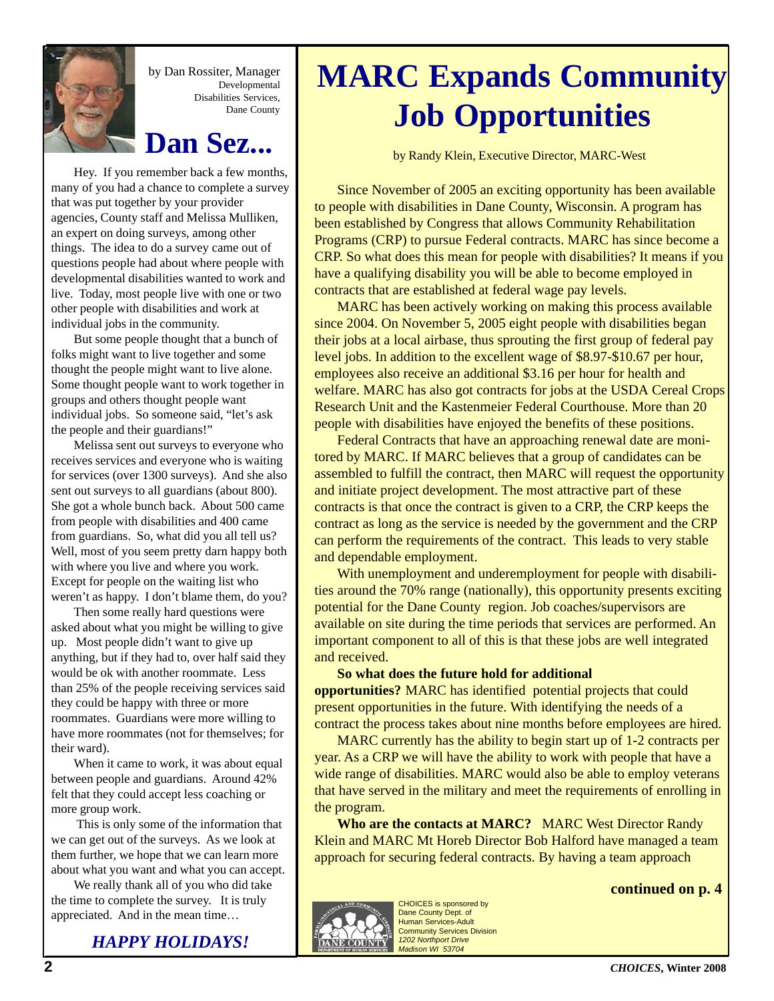

by Dan Rossiter, Manager Developmental Disabilities Services, Dane County

### **Dan Sez...**

Hey. If you remember back a few months, many of you had a chance to complete a survey that was put together by your provider agencies, County staff and Melissa Mulliken, an expert on doing surveys, among other things. The idea to do a survey came out of questions people had about where people with developmental disabilities wanted to work and live. Today, most people live with one or two other people with disabilities and work at individual jobs in the community.

But some people thought that a bunch of folks might want to live together and some thought the people might want to live alone. Some thought people want to work together in groups and others thought people want individual jobs. So someone said, "let's ask the people and their guardians!"

Melissa sent out surveys to everyone who receives services and everyone who is waiting for services (over 1300 surveys). And she also sent out surveys to all guardians (about 800). She got a whole bunch back. About 500 came from people with disabilities and 400 came from guardians. So, what did you all tell us? Well, most of you seem pretty darn happy both with where you live and where you work. Except for people on the waiting list who weren't as happy. I don't blame them, do you?

Then some really hard questions were asked about what you might be willing to give up. Most people didn't want to give up anything, but if they had to, over half said they would be ok with another roommate. Less than 25% of the people receiving services said they could be happy with three or more roommates. Guardians were more willing to have more roommates (not for themselves; for their ward).

When it came to work, it was about equal between people and guardians. Around 42% felt that they could accept less coaching or more group work.

 This is only some of the information that we can get out of the surveys. As we look at them further, we hope that we can learn more about what you want and what you can accept.

We really thank all of you who did take the time to complete the survey. It is truly appreciated. And in the mean time…

*HAPPY HOLIDAYS!*

## **MARC Expands Community Job Opportunities**

by Randy Klein, Executive Director, MARC-West

Since November of 2005 an exciting opportunity has been available to people with disabilities in Dane County, Wisconsin. A program has been established by Congress that allows Community Rehabilitation Programs (CRP) to pursue Federal contracts. MARC has since become a CRP. So what does this mean for people with disabilities? It means if you have a qualifying disability you will be able to become employed in contracts that are established at federal wage pay levels.

MARC has been actively working on making this process available since 2004. On November 5, 2005 eight people with disabilities began their jobs at a local airbase, thus sprouting the first group of federal pay level jobs. In addition to the excellent wage of \$8.97-\$10.67 per hour, employees also receive an additional \$3.16 per hour for health and welfare. MARC has also got contracts for jobs at the USDA Cereal Crops Research Unit and the Kastenmeier Federal Courthouse. More than 20 people with disabilities have enjoyed the benefits of these positions.

Federal Contracts that have an approaching renewal date are monitored by MARC. If MARC believes that a group of candidates can be assembled to fulfill the contract, then MARC will request the opportunity and initiate project development. The most attractive part of these contracts is that once the contract is given to a CRP, the CRP keeps the contract as long as the service is needed by the government and the CRP can perform the requirements of the contract. This leads to very stable and dependable employment.

With unemployment and underemployment for people with disabilities around the 70% range (nationally), this opportunity presents exciting potential for the Dane County region. Job coaches/supervisors are available on site during the time periods that services are performed. An important component to all of this is that these jobs are well integrated and received.

**So what does the future hold for additional opportunities?** MARC has identified potential projects that could present opportunities in the future. With identifying the needs of a contract the process takes about nine months before employees are hired.

MARC currently has the ability to begin start up of 1-2 contracts per year. As a CRP we will have the ability to work with people that have a wide range of disabilities. MARC would also be able to employ veterans that have served in the military and meet the requirements of enrolling in the program.

**Who are the contacts at MARC?** MARC West Director Randy Klein and MARC Mt Horeb Director Bob Halford have managed a team approach for securing federal contracts. By having a team approach





CHOICES is sponsored by Dane County Dept. of Human Services-Adult Community Services Division *1202 Northport Drive Madison WI 53704*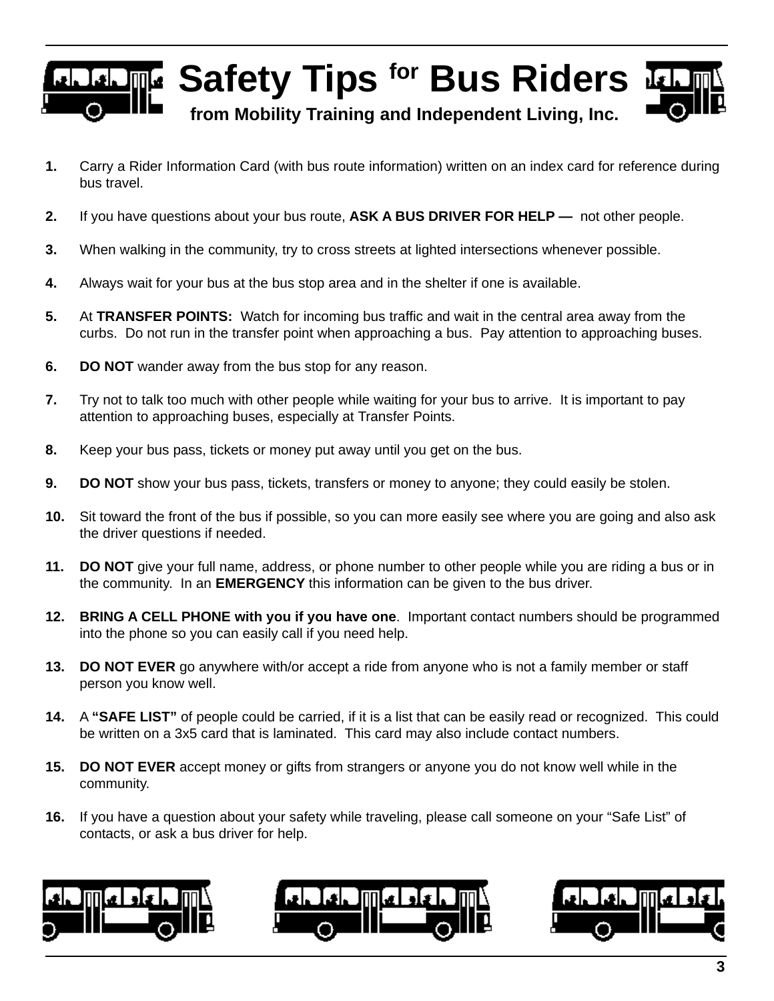## **T** Safety Tips <sup>for</sup> Bus Riders™ **from Mobility Training and Independent Living, Inc.**

- **1.** Carry a Rider Information Card (with bus route information) written on an index card for reference during bus travel.
- **2.** If you have questions about your bus route, **ASK A BUS DRIVER FOR HELP** not other people.
- **3.** When walking in the community, try to cross streets at lighted intersections whenever possible.
- **4.** Always wait for your bus at the bus stop area and in the shelter if one is available.
- **5.** At **TRANSFER POINTS:** Watch for incoming bus traffic and wait in the central area away from the curbs. Do not run in the transfer point when approaching a bus.Pay attention to approaching buses.
- **6. DO NOT** wander away from the bus stop for any reason.
- **7.** Try not to talk too much with other people while waiting for your bus to arrive. It is important to pay attention to approaching buses, especially at Transfer Points.
- **8.** Keep your bus pass, tickets or money put away until you get on the bus.
- **9. DO NOT** show your bus pass, tickets, transfers or money to anyone; they could easily be stolen.
- **10.** Sit toward the front of the bus if possible, so you can more easily see where you are going and also ask the driver questions if needed.
- **11. DO NOT** give your full name, address, or phone number to other people while you are riding a bus or in the community. In an **EMERGENCY** this information can be given to the bus driver.
- **12. BRING A CELL PHONE with you if you have one**. Important contact numbers should be programmed into the phone so you can easily call if you need help.
- **13. DO NOT EVER** go anywhere with/or accept a ride from anyone who is not a family member or staff person you know well.
- **14.** A **"SAFE LIST"** of people could be carried, if it is a list that can be easily read or recognized. This could be written on a 3x5 card that is laminated. This card may also include contact numbers.
- **15. DO NOT EVER** accept money or gifts from strangers or anyone you do not know well while in the community.
- **16.** If you have a question about your safety while traveling, please call someone on your "Safe List" of contacts, or ask a bus driver for help.





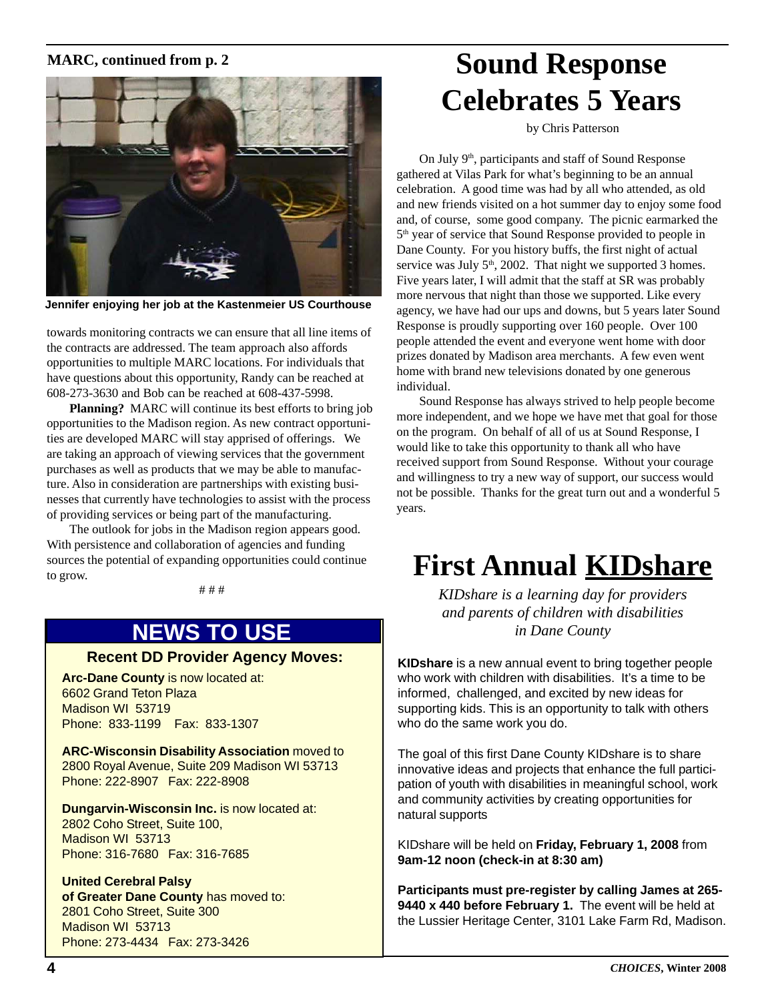### **MARC, continued from p. 2**



**Jennifer enjoying her job at the Kastenmeier US Courthouse**

towards monitoring contracts we can ensure that all line items of the contracts are addressed. The team approach also affords opportunities to multiple MARC locations. For individuals that have questions about this opportunity, Randy can be reached at 608-273-3630 and Bob can be reached at 608-437-5998.

**Planning?** MARC will continue its best efforts to bring job opportunities to the Madison region. As new contract opportunities are developed MARC will stay apprised of offerings. We are taking an approach of viewing services that the government purchases as well as products that we may be able to manufacture. Also in consideration are partnerships with existing businesses that currently have technologies to assist with the process of providing services or being part of the manufacturing.

The outlook for jobs in the Madison region appears good. With persistence and collaboration of agencies and funding sources the potential of expanding opportunities could continue to grow.

# # #

### **NEWS TO USE**

### **Recent DD Provider Agency Moves:**

**Arc-Dane County** is now located at: 6602 Grand Teton Plaza Madison WI 53719 Phone: 833-1199 Fax: 833-1307

**ARC-Wisconsin Disability Association** moved to 2800 Royal Avenue, Suite 209 Madison WI 53713 Phone: 222-8907 Fax: 222-8908

**Dungarvin-Wisconsin Inc.** is now located at: 2802 Coho Street, Suite 100, Madison WI 53713 Phone: 316-7680 Fax: 316-7685

#### **United Cerebral Palsy**

**of Greater Dane County** has moved to: 2801 Coho Street, Suite 300 Madison WI 53713 Phone: 273-4434 Fax: 273-3426

## **Sound Response Celebrates 5 Years**

by Chris Patterson

On July 9<sup>th</sup>, participants and staff of Sound Response gathered at Vilas Park for what's beginning to be an annual celebration. A good time was had by all who attended, as old and new friends visited on a hot summer day to enjoy some food and, of course, some good company. The picnic earmarked the 5<sup>th</sup> year of service that Sound Response provided to people in Dane County. For you history buffs, the first night of actual service was July  $5<sup>th</sup>$ , 2002. That night we supported 3 homes. Five years later, I will admit that the staff at SR was probably more nervous that night than those we supported. Like every agency, we have had our ups and downs, but 5 years later Sound Response is proudly supporting over 160 people. Over 100 people attended the event and everyone went home with door prizes donated by Madison area merchants. A few even went home with brand new televisions donated by one generous individual.

Sound Response has always strived to help people become more independent, and we hope we have met that goal for those on the program. On behalf of all of us at Sound Response, I would like to take this opportunity to thank all who have received support from Sound Response. Without your courage and willingness to try a new way of support, our success would not be possible. Thanks for the great turn out and a wonderful 5 years.

## **First Annual KIDshare**

*KIDshare is a learning day for providers and parents of children with disabilities in Dane County*

**KIDshare** is a new annual event to bring together people who work with children with disabilities. It's a time to be informed, challenged, and excited by new ideas for supporting kids. This is an opportunity to talk with others who do the same work you do.

The goal of this first Dane County KIDshare is to share innovative ideas and projects that enhance the full participation of youth with disabilities in meaningful school, work and community activities by creating opportunities for natural supports

KIDshare will be held on **Friday, February 1, 2008** from **9am-12 noon (check-in at 8:30 am)**

**Participants must pre-register by calling James at 265- 9440 x 440 before February 1.** The event will be held at the Lussier Heritage Center, 3101 Lake Farm Rd, Madison.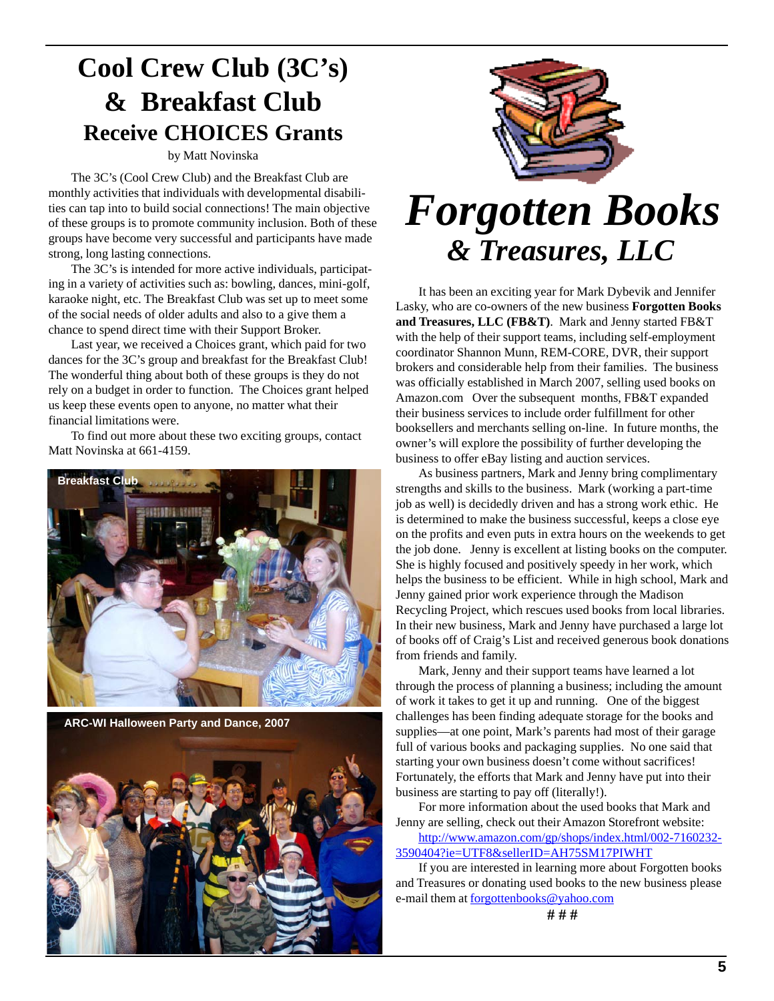### **Cool Crew Club (3C's) & Breakfast Club Receive CHOICES Grants**

#### by Matt Novinska

The 3C's (Cool Crew Club) and the Breakfast Club are monthly activities that individuals with developmental disabilities can tap into to build social connections! The main objective of these groups is to promote community inclusion. Both of these groups have become very successful and participants have made strong, long lasting connections.

The 3C's is intended for more active individuals, participating in a variety of activities such as: bowling, dances, mini-golf, karaoke night, etc. The Breakfast Club was set up to meet some of the social needs of older adults and also to a give them a chance to spend direct time with their Support Broker.

Last year, we received a Choices grant, which paid for two dances for the 3C's group and breakfast for the Breakfast Club! The wonderful thing about both of these groups is they do not rely on a budget in order to function. The Choices grant helped us keep these events open to anyone, no matter what their financial limitations were.

To find out more about these two exciting groups, contact Matt Novinska at 661-4159.



**ARC-WI Halloween Party and Dance, 2007**





## *Forgotten Books & Treasures, LLC*

It has been an exciting year for Mark Dybevik and Jennifer Lasky, who are co-owners of the new business **Forgotten Books and Treasures, LLC (FB&T)**. Mark and Jenny started FB&T with the help of their support teams, including self-employment coordinator Shannon Munn, REM-CORE, DVR, their support brokers and considerable help from their families. The business was officially established in March 2007, selling used books on Amazon.com Over the subsequent months, FB&T expanded their business services to include order fulfillment for other booksellers and merchants selling on-line. In future months, the owner's will explore the possibility of further developing the business to offer eBay listing and auction services.

As business partners, Mark and Jenny bring complimentary strengths and skills to the business. Mark (working a part-time job as well) is decidedly driven and has a strong work ethic. He is determined to make the business successful, keeps a close eye on the profits and even puts in extra hours on the weekends to get the job done. Jenny is excellent at listing books on the computer. She is highly focused and positively speedy in her work, which helps the business to be efficient. While in high school, Mark and Jenny gained prior work experience through the Madison Recycling Project, which rescues used books from local libraries. In their new business, Mark and Jenny have purchased a large lot of books off of Craig's List and received generous book donations from friends and family.

Mark, Jenny and their support teams have learned a lot through the process of planning a business; including the amount of work it takes to get it up and running. One of the biggest challenges has been finding adequate storage for the books and supplies—at one point, Mark's parents had most of their garage full of various books and packaging supplies. No one said that starting your own business doesn't come without sacrifices! Fortunately, the efforts that Mark and Jenny have put into their business are starting to pay off (literally!).

For more information about the used books that Mark and Jenny are selling, check out their Amazon Storefront website:

http://www.amazon.com/gp/shops/index.html/002-7160232- 3590404?ie=UTF8&sellerID=AH75SM17PIWHT

If you are interested in learning more about Forgotten books and Treasures or donating used books to the new business please e-mail them at forgottenbooks@yahoo.com

**# # #**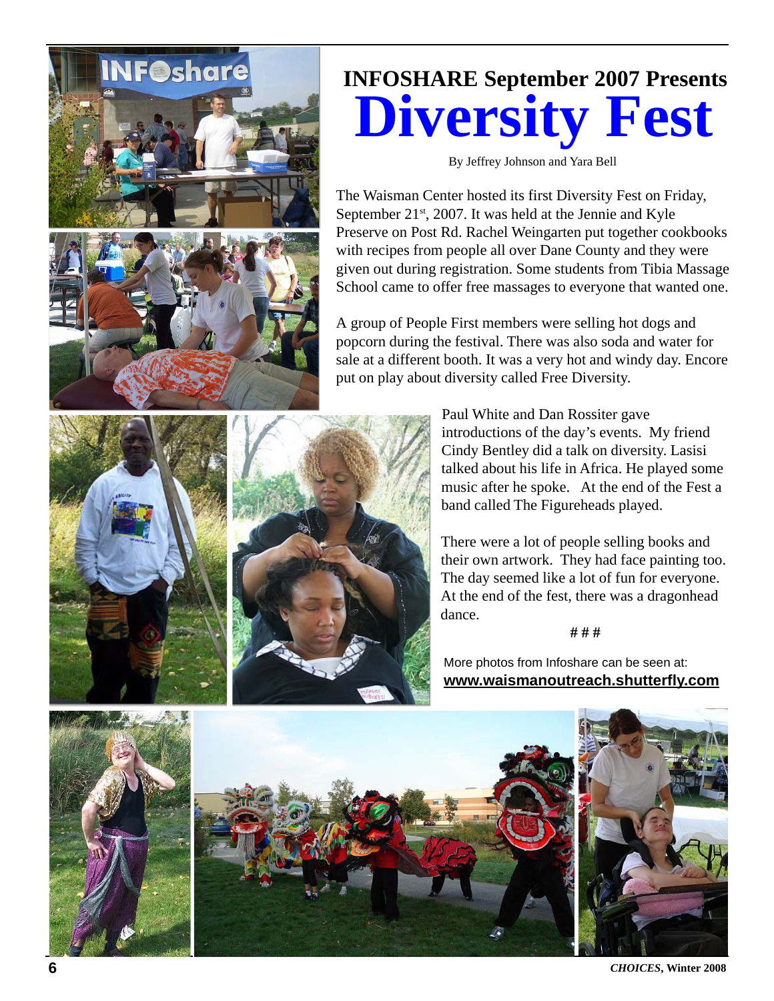

## **INFOSHARE September 2007 Presents Diversity Fest**

By Jeffrey Johnson and Yara Bell

The Waisman Center hosted its first Diversity Fest on Friday, September 21<sup>st</sup>, 2007. It was held at the Jennie and Kyle Preserve on Post Rd. Rachel Weingarten put together cookbooks with recipes from people all over Dane County and they were given out during registration. Some students from Tibia Massage School came to offer free massages to everyone that wanted one.

A group of People First members were selling hot dogs and popcorn during the festival. There was also soda and water for sale at a different booth. It was a very hot and windy day. Encore put on play about diversity called Free Diversity.

> Paul White and Dan Rossiter gave introductions of the day's events. My friend Cindy Bentley did a talk on diversity. Lasisi talked about his life in Africa. He played some music after he spoke. At the end of the Fest a band called The Figureheads played.

> There were a lot of people selling books and their own artwork. They had face painting too. The day seemed like a lot of fun for everyone. At the end of the fest, there was a dragonhead dance.

> > **# # #**

More photos from Infoshare can be seen at: **www.waismanoutreach.shutterfly.com**



**6** *CHOICES*, Winter 2008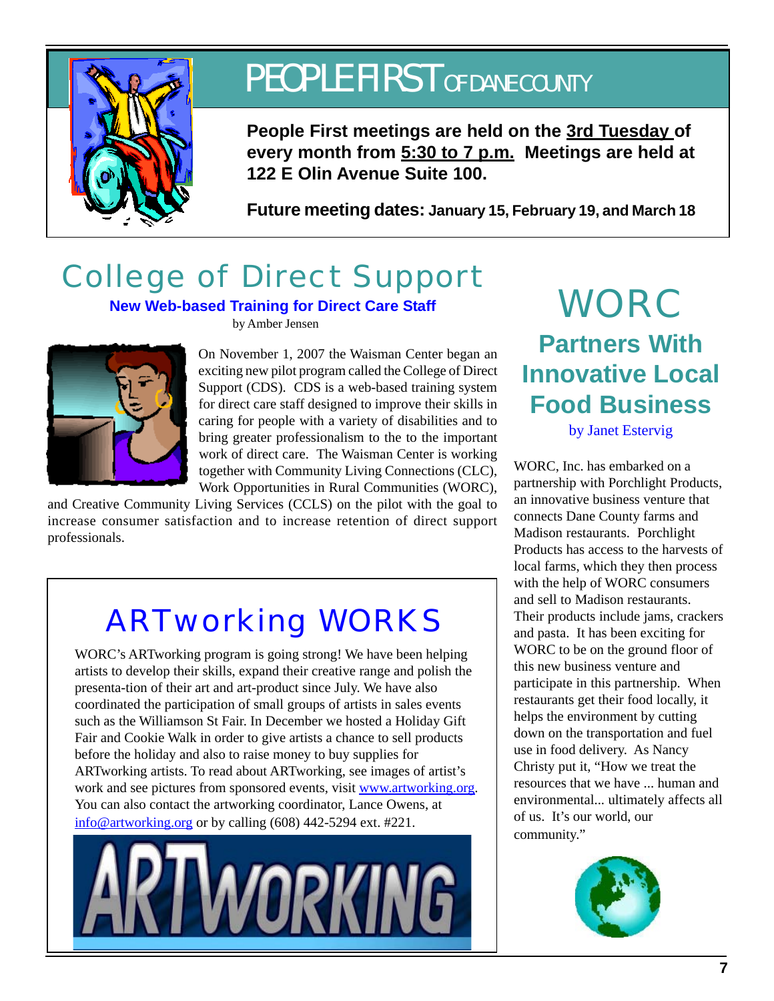

## PEOPLE FIRST OF DANE COUNTY

**People First meetings are held on the 3rd Tuesday of every month from 5:30 to 7 p.m. Meetings are held at 122 E Olin Avenue Suite 100.**

**Future meeting dates: January 15, February 19, and March 18**

## College of Direct Support

### **New Web-based Training for Direct Care Staff** WORC

by Amber Jensen



On November 1, 2007 the Waisman Center began an exciting new pilot program called the College of Direct Support (CDS). CDS is a web-based training system for direct care staff designed to improve their skills in caring for people with a variety of disabilities and to bring greater professionalism to the to the important work of direct care. The Waisman Center is working together with Community Living Connections (CLC), Work Opportunities in Rural Communities (WORC),

and Creative Community Living Services (CCLS) on the pilot with the goal to increase consumer satisfaction and to increase retention of direct support professionals.

## ARTworking WORKS

WORC's ARTworking program is going strong! We have been helping artists to develop their skills, expand their creative range and polish the presenta-tion of their art and art-product since July. We have also coordinated the participation of small groups of artists in sales events such as the Williamson St Fair. In December we hosted a Holiday Gift Fair and Cookie Walk in order to give artists a chance to sell products before the holiday and also to raise money to buy supplies for ARTworking artists. To read about ARTworking, see images of artist's work and see pictures from sponsored events, visit www.artworking.org. You can also contact the artworking coordinator, Lance Owens, at info@artworking.org or by calling (608) 442-5294 ext. #221.



# **Partners With Innovative Local Food Business**

by Janet Estervig

WORC, Inc. has embarked on a partnership with Porchlight Products, an innovative business venture that connects Dane County farms and Madison restaurants. Porchlight Products has access to the harvests of local farms, which they then process with the help of WORC consumers and sell to Madison restaurants. Their products include jams, crackers and pasta. It has been exciting for WORC to be on the ground floor of this new business venture and participate in this partnership. When restaurants get their food locally, it helps the environment by cutting down on the transportation and fuel use in food delivery. As Nancy Christy put it, "How we treat the resources that we have ... human and environmental... ultimately affects all of us. It's our world, our community."

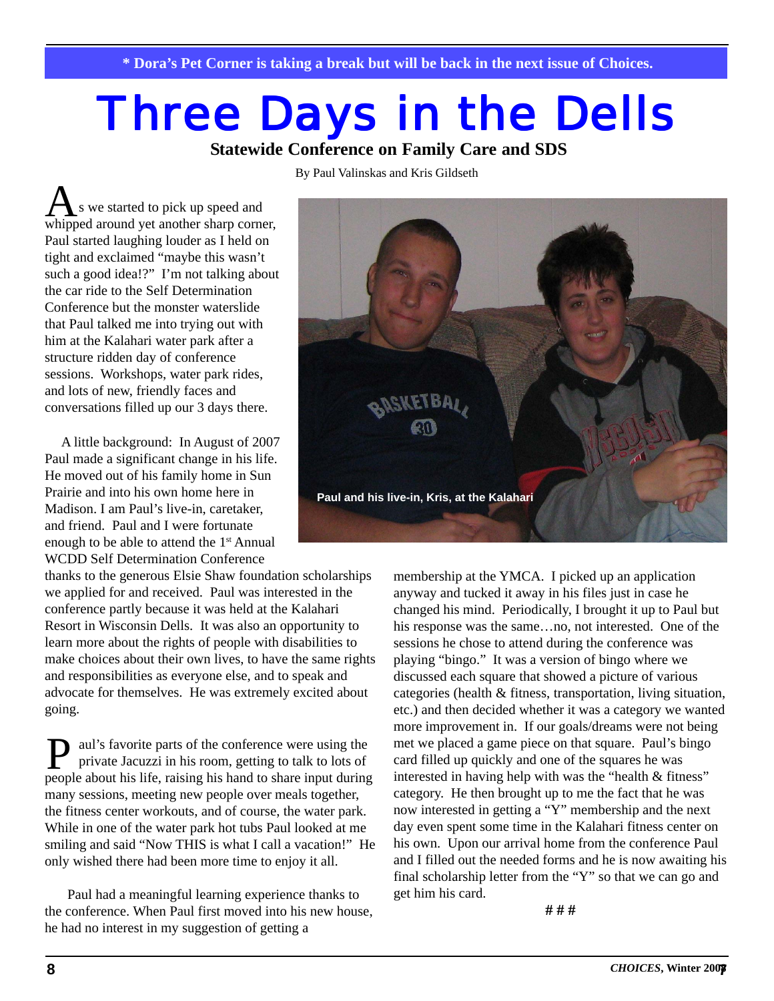# **Three Days in the Dells**

**Statewide Conference on Family Care and SDS**

By Paul Valinskas and Kris Gildseth

s we started to pick up speed and As we started to pick up speed and<br>whipped around yet another sharp corner, Paul started laughing louder as I held on tight and exclaimed "maybe this wasn't such a good idea!?" I'm not talking about the car ride to the Self Determination Conference but the monster waterslide that Paul talked me into trying out with him at the Kalahari water park after a structure ridden day of conference sessions. Workshops, water park rides, and lots of new, friendly faces and conversations filled up our 3 days there.

 A little background: In August of 2007 Paul made a significant change in his life. He moved out of his family home in Sun Prairie and into his own home here in Madison. I am Paul's live-in, caretaker, and friend. Paul and I were fortunate enough to be able to attend the 1st Annual WCDD Self Determination Conference

thanks to the generous Elsie Shaw foundation scholarships we applied for and received. Paul was interested in the conference partly because it was held at the Kalahari Resort in Wisconsin Dells. It was also an opportunity to learn more about the rights of people with disabilities to make choices about their own lives, to have the same rights and responsibilities as everyone else, and to speak and advocate for themselves. He was extremely excited about going.

**P** aul's favorite parts of the conference were using the private Jacuzzi in his room, getting to talk to lots of private Jacuzzi in his room, getting to talk to lots of people about his life, raising his hand to share input during many sessions, meeting new people over meals together, the fitness center workouts, and of course, the water park. While in one of the water park hot tubs Paul looked at me smiling and said "Now THIS is what I call a vacation!" He only wished there had been more time to enjoy it all.

Paul had a meaningful learning experience thanks to the conference. When Paul first moved into his new house, he had no interest in my suggestion of getting a



membership at the YMCA. I picked up an application anyway and tucked it away in his files just in case he changed his mind. Periodically, I brought it up to Paul but his response was the same…no, not interested. One of the sessions he chose to attend during the conference was playing "bingo." It was a version of bingo where we discussed each square that showed a picture of various categories (health & fitness, transportation, living situation, etc.) and then decided whether it was a category we wanted more improvement in. If our goals/dreams were not being met we placed a game piece on that square. Paul's bingo card filled up quickly and one of the squares he was interested in having help with was the "health & fitness" category. He then brought up to me the fact that he was now interested in getting a "Y" membership and the next day even spent some time in the Kalahari fitness center on his own. Upon our arrival home from the conference Paul and I filled out the needed forms and he is now awaiting his final scholarship letter from the "Y" so that we can go and get him his card.

**# # #**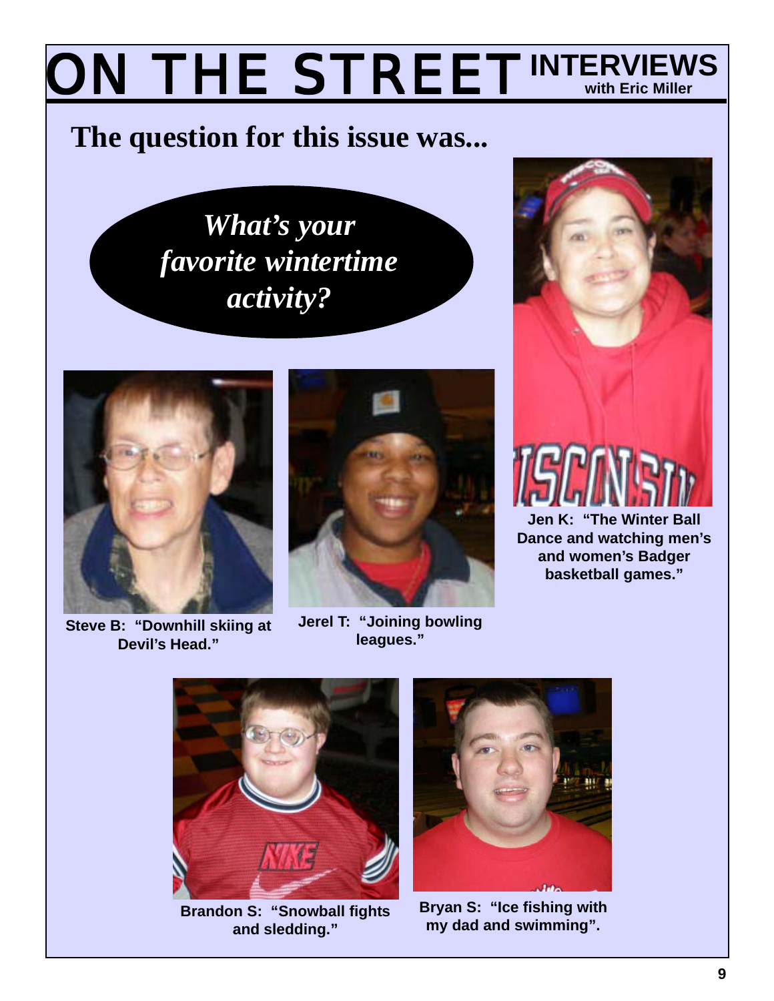### **ON THE STREET INTERVIEW INTERVIEWS**

## **The question for this issue was...**

*What's your favorite wintertime activity?*



**leagues.** "Steve B: "Downhill skiing at **Jerel T: "Joining**<br>" leagues." **Devil's Head."**



**Jerel T: "Joining bowling**



**Jen K: "The Winter Ball Dance and watching men's and women's Badger basketball games."**



**Brandon S: "Snowball fights and sledding."**



**Bryan S: "Ice fishing with my dad and swimming".**